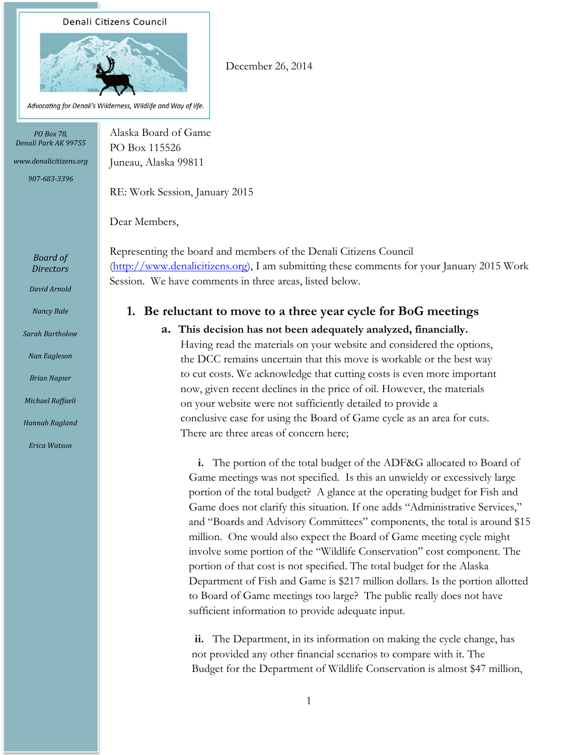#### Denali Citizens Council



Advocating for Denali's Wilderness, Wildlife and Way of life.

*PO Box 78, Denali Park AK 99755*

*www.denalicitizens.org 907-683-3396*

RE: Work Session, January 2015

PO Box 115526 Juneau, Alaska 99811

Alaska Board of Game

Dear Members,

Representing the board and members of the Denali Citizens Council [\(http://www.denalicitizens.org\)](http://www.denalicitizens.org/), I am submitting these comments for your January 2015 Work Session. We have comments in three areas, listed below.

### **1. Be reluctant to move to a three year cycle for BoG meetings**

December 26, 2014

#### **a. This decision has not been adequately analyzed, financially.**

Having read the materials on your website and considered the options, the DCC remains uncertain that this move is workable or the best way to cut costs. We acknowledge that cutting costs is even more important now, given recent declines in the price of oil. However, the materials on your website were not sufficiently detailed to provide a conclusive case for using the Board of Game cycle as an area for cuts. There are three areas of concern here;

**i.** The portion of the total budget of the ADF&G allocated to Board of Game meetings was not specified. Is this an unwieldy or excessively large portion of the total budget? A glance at the operating budget for Fish and Game does not clarify this situation. If one adds "Administrative Services," and "Boards and Advisory Committees" components, the total is around \$15 million. One would also expect the Board of Game meeting cycle might involve some portion of the "Wildlife Conservation" cost component. The portion of that cost is not specified. The total budget for the Alaska Department of Fish and Game is \$217 million dollars. Is the portion allotted to Board of Game meetings too large? The public really does not have sufficient information to provide adequate input.

**ii.** The Department, in its information on making the cycle change, has not provided any other financial scenarios to compare with it. The Budget for the Department of Wildlife Conservation is almost \$47 million,

*Board of Directors*

*David Arnold*

*Sarah Bartholow*

*Nancy Bale*

*Nan Eagleson*

*Brian Napier*

*Michael Raffaeli*

*Hannah Ragland*

*Erica Watson*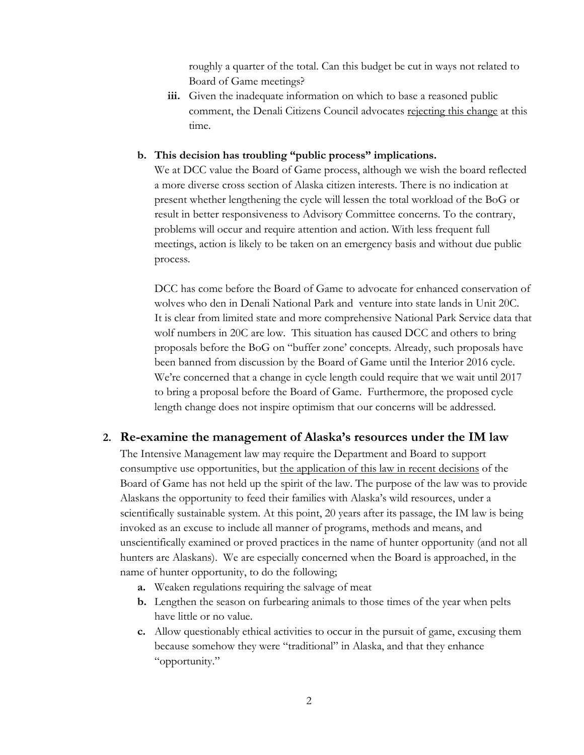roughly a quarter of the total. Can this budget be cut in ways not related to Board of Game meetings?

**iii.** Given the inadequate information on which to base a reasoned public comment, the Denali Citizens Council advocates rejecting this change at this time.

#### **b. This decision has troubling "public process" implications.**

We at DCC value the Board of Game process, although we wish the board reflected a more diverse cross section of Alaska citizen interests. There is no indication at present whether lengthening the cycle will lessen the total workload of the BoG or result in better responsiveness to Advisory Committee concerns. To the contrary, problems will occur and require attention and action. With less frequent full meetings, action is likely to be taken on an emergency basis and without due public process.

DCC has come before the Board of Game to advocate for enhanced conservation of wolves who den in Denali National Park and venture into state lands in Unit 20C. It is clear from limited state and more comprehensive National Park Service data that wolf numbers in 20C are low. This situation has caused DCC and others to bring proposals before the BoG on "buffer zone' concepts. Already, such proposals have been banned from discussion by the Board of Game until the Interior 2016 cycle. We're concerned that a change in cycle length could require that we wait until 2017 to bring a proposal before the Board of Game. Furthermore, the proposed cycle length change does not inspire optimism that our concerns will be addressed.

## **2. Re-examine the management of Alaska's resources under the IM law**

The Intensive Management law may require the Department and Board to support consumptive use opportunities, but the application of this law in recent decisions of the Board of Game has not held up the spirit of the law. The purpose of the law was to provide Alaskans the opportunity to feed their families with Alaska's wild resources, under a scientifically sustainable system. At this point, 20 years after its passage, the IM law is being invoked as an excuse to include all manner of programs, methods and means, and unscientifically examined or proved practices in the name of hunter opportunity (and not all hunters are Alaskans). We are especially concerned when the Board is approached, in the name of hunter opportunity, to do the following;

- **a.** Weaken regulations requiring the salvage of meat
- **b.** Lengthen the season on furbearing animals to those times of the year when pelts have little or no value.
- **c.** Allow questionably ethical activities to occur in the pursuit of game, excusing them because somehow they were "traditional" in Alaska, and that they enhance "opportunity."